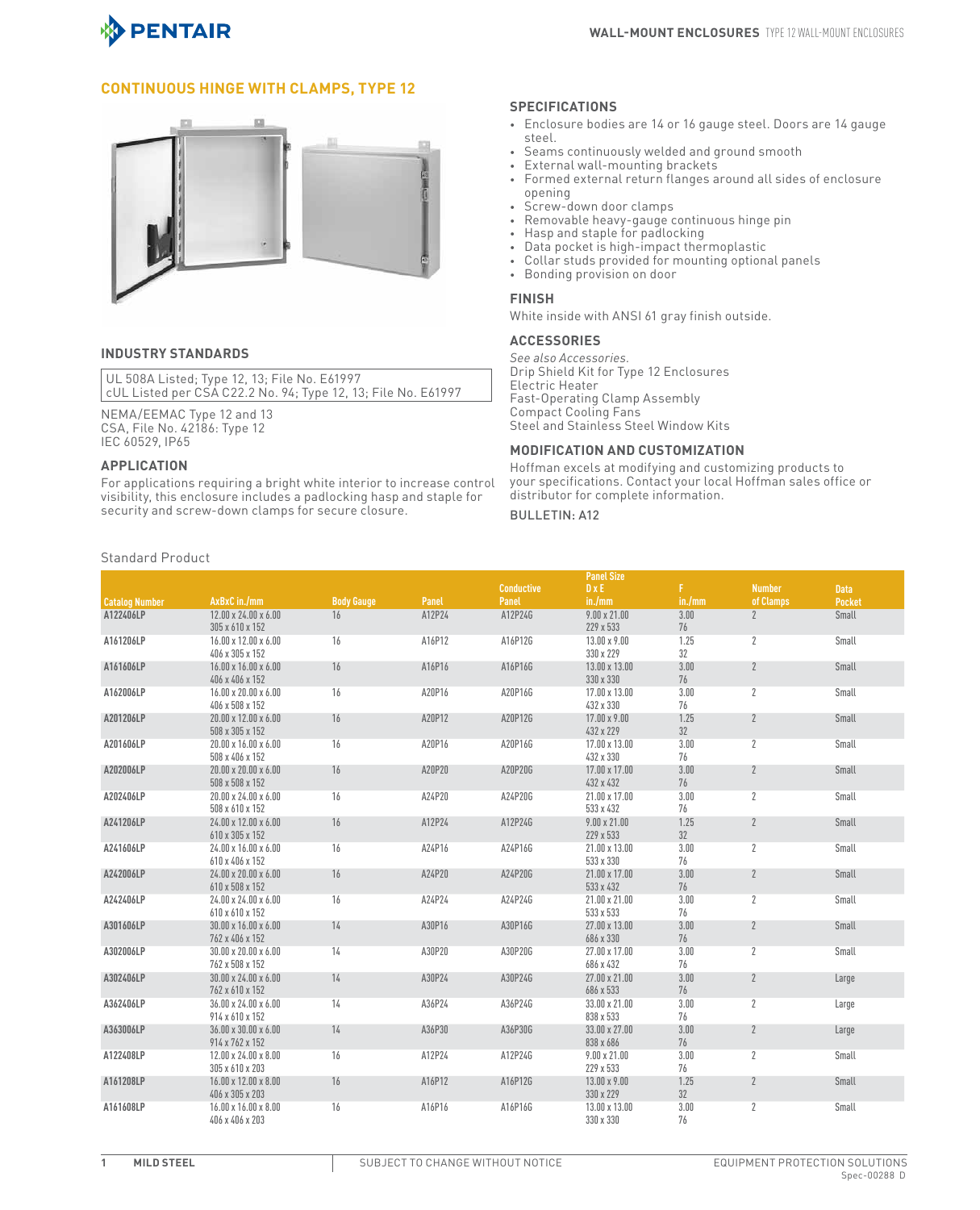

# **Continuous Hinge with Clamps, Type 12**



## **INDUSTRY STANDARDS**

UL 508A Listed; Type 12, 13; File No. E61997 cUL Listed per CSA C22.2 No. 94; Type 12, 13; File No. E61997

NEMA/EEMAC Type 12 and 13 CSA, File No. 42186: Type 12 IEC 60529, IP65

### **APPLICATION**

For applications requiring a bright white interior to increase control visibility, this enclosure includes a padlocking hasp and staple for security and screw-down clamps for secure closure.

### **SPECIFICATIONS**

- Enclosure bodies are 14 or 16 gauge steel. Doors are 14 gauge steel.
- Seams continuously welded and ground smooth
- External wall-mounting brackets
- Formed external return flanges around all sides of enclosure opening
- Screw-down door clamps
- Removable heavy-gauge continuous hinge pin
- Hasp and staple for padlocking
- Data pocket is high-impact thermoplastic
- Collar studs provided for mounting optional panels
- Bonding provision on door

#### **FINISH**

White inside with ANSI 61 gray finish outside.

### **ACCESSORIES**

*See also Accessories.* Drip Shield Kit for Type 12 Enclosures Electric Heater Fast-Operating Clamp Assembly Compact Cooling Fans Steel and Stainless Steel Window Kits

## **MODIFICATION AND CUSTOMIZATION**

Hoffman excels at modifying and customizing products to your specifications. Contact your local Hoffman sales office or distributor for complete information.

### BULLETIN: A12

|                       |                                                     |                   |        |                   | <b>Panel Size</b>                |            |                |               |  |
|-----------------------|-----------------------------------------------------|-------------------|--------|-------------------|----------------------------------|------------|----------------|---------------|--|
|                       |                                                     |                   |        | <b>Conductive</b> | DXE                              | F.         | <b>Number</b>  | <b>Data</b>   |  |
| <b>Catalog Number</b> | AxBxC in./mm                                        | <b>Body Gauge</b> | Panel  | Panel             | in./mm                           | in./mm     | of Clamps      | <b>Pocket</b> |  |
| A122406LP             | $12.00 \times 24.00 \times 6.00$                    | 16                | A12P24 | A12P24G           | $9.00 \times 21.00$              | 3.00       | $\overline{2}$ | Small         |  |
|                       | 305 x 610 x 152                                     |                   |        |                   | 229 x 533                        | 76         |                |               |  |
| A161206LP             | 16.00 x 12.00 x 6.00                                | 16                | A16P12 | A16P12G           | $13.00 \times 9.00$              | 1.25       | $\overline{2}$ | Small         |  |
|                       | 406 x 305 x 152                                     |                   |        |                   | 330 x 229                        | 32         |                |               |  |
| A161606LP             | 16.00 x 16.00 x 6.00                                | 16                | A16P16 | A16P16G           | 13.00 x 13.00                    | 3.00       | $\overline{2}$ | Small         |  |
|                       | 406 x 406 x 152                                     |                   |        |                   | 330 x 330                        | 76         |                |               |  |
| A162006LP             | $16.00 \times 20.00 \times 6.00$                    | 16                | A20P16 | A20P16G           | 17.00 x 13.00                    | 3.00<br>76 | $\mathbf{2}$   | Small         |  |
|                       | 406 x 508 x 152<br>20.00 x 12.00 x 6.00             | 16                | A20P12 | A20P12G           | 432 x 330<br>$17.00 \times 9.00$ | 1.25       | $\overline{2}$ | Small         |  |
| A201206LP             | 508 x 305 x 152                                     |                   |        |                   | 432 x 229                        | 32         |                |               |  |
| A201606LP             | 20.00 x 16.00 x 6.00                                | 16                | A20P16 | A20P16G           | 17.00 x 13.00                    | 3.00       | $\overline{2}$ | Small         |  |
|                       | 508 x 406 x 152                                     |                   |        |                   | 432 x 330                        | 76         |                |               |  |
| A202006LP             | $20.00 \times 20.00 \times 6.00$                    | 16                | A20P20 | A20P20G           | 17.00 x 17.00                    | 3.00       | $\overline{2}$ | Small         |  |
|                       | 508 x 508 x 152                                     |                   |        |                   | 432 x 432                        | 76         |                |               |  |
| A202406LP             | 20.00 x 24.00 x 6.00                                | 16                | A24P20 | A24P20G           | 21.00 x 17.00                    | 3.00       | $\mathbf{2}$   | Small         |  |
|                       | 508 x 610 x 152                                     |                   |        |                   | 533 x 432                        | 76         |                |               |  |
| A241206LP             | 24.00 x 12.00 x 6.00                                | 16                | A12P24 | A12P24G           | $9.00 \times 21.00$              | 1.25       | $\overline{2}$ | Small         |  |
|                       | 610 x 305 x 152                                     |                   |        |                   | 229 x 533                        | 32         |                |               |  |
| A241606LP             | 24.00 x 16.00 x 6.00                                | 16                | A24P16 | A24P16G           | 21.00 x 13.00                    | 3.00       | $\mathbf{2}$   | Small         |  |
|                       | 610 x 406 x 152                                     |                   |        |                   | 533 x 330                        | 76         |                |               |  |
| A242006LP             | 24.00 x 20.00 x 6.00                                | 16                | A24P20 | A24P20G           | 21.00 x 17.00                    | 3.00       | $\overline{2}$ | Small         |  |
|                       | 610 x 508 x 152                                     |                   |        |                   | 533 x 432                        | 76         |                |               |  |
| A242406LP             | 24.00 x 24.00 x 6.00                                | 16                | A24P24 | A24P24G           | 21.00 x 21.00<br>533 x 533       | 3.00<br>76 | $\mathbf{2}$   | Small         |  |
| A301606LP             | 610 x 610 x 152<br>$30.00 \times 16.00 \times 6.00$ | 14                | A30P16 | A30P16G           | 27.00 x 13.00                    | 3.00       | $\overline{2}$ | Small         |  |
|                       | 762 x 406 x 152                                     |                   |        |                   | 686 x 330                        | 76         |                |               |  |
| A302006LP             | $30.00 \times 20.00 \times 6.00$                    | 14                | A30P20 | A30P20G           | $27.00 \times 17.00$             | 3.00       | $\mathbf{2}$   | Small         |  |
|                       | 762 x 508 x 152                                     |                   |        |                   | 686 x 432                        | 76         |                |               |  |
| A302406LP             | $30.00 \times 24.00 \times 6.00$                    | 14                | A30P24 | A30P24G           | 27.00 x 21.00                    | 3.00       | $\overline{2}$ | Large         |  |
|                       | 762 x 610 x 152                                     |                   |        |                   | 686 x 533                        | 76         |                |               |  |
| A362406LP             | 36.00 x 24.00 x 6.00                                | 14                | A36P24 | A36P24G           | 33.00 x 21.00                    | 3.00       | $\mathbf{2}$   | Large         |  |
|                       | 914 x 610 x 152                                     |                   |        |                   | 838 x 533                        | 76         |                |               |  |
| A363006LP             | $36.00 \times 30.00 \times 6.00$                    | 14                | A36P30 | A36P30G           | $33.00 \times 27.00$             | 3.00       | $\overline{2}$ | Large         |  |
|                       | 914 x 762 x 152                                     |                   |        |                   | 838 x 686                        | 76         |                |               |  |
| A122408LP             | $12.00 \times 24.00 \times 8.00$                    | 16                | A12P24 | A12P24G           | $9.00 \times 21.00$              | 3.00       | $\mathbf{2}$   | Small         |  |
|                       | 305 x 610 x 203                                     |                   |        |                   | 229 x 533                        | 76         |                |               |  |
| A161208LP             | $16.00 \times 12.00 \times 8.00$                    | 16                | A16P12 | A16P12G           | 13.00 x 9.00                     | 1.25       | $\overline{2}$ | Small         |  |
|                       | 406 x 305 x 203                                     |                   |        |                   | 330 x 229                        | 32         |                |               |  |
| A161608LP             | $16.00 \times 16.00 \times 8.00$                    | 16                | A16P16 | A16P16G           | 13.00 x 13.00                    | 3.00       | $\mathbf{2}$   | Small         |  |
|                       | 406 x 406 x 203                                     |                   |        |                   | 330 x 330                        | 76         |                |               |  |

## Standard Product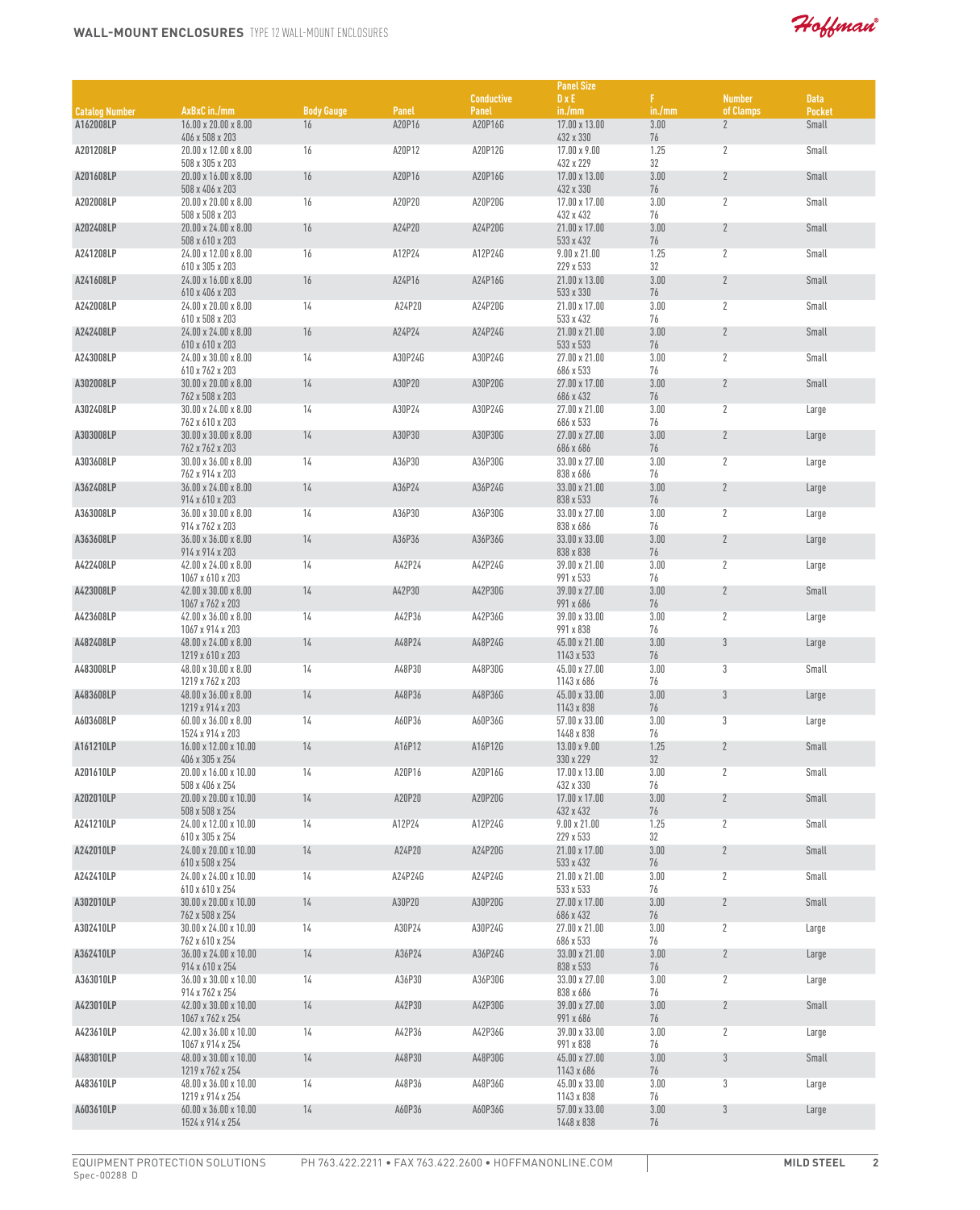Hoffman

|                       |                                                       |                   |         |                   | <b>Panel Size</b>                 |            |                |               |
|-----------------------|-------------------------------------------------------|-------------------|---------|-------------------|-----------------------------------|------------|----------------|---------------|
|                       |                                                       |                   |         | <b>Conductive</b> | $D \times E$                      | F.         | <b>Number</b>  | <b>Data</b>   |
| <b>Catalog Number</b> | AxBxC in./mm                                          | <b>Body Gauge</b> | Panel   | Panel             | in./mm                            | in./mm     | of Clamps      | <b>Pocket</b> |
| A162008LP             | $16.00 \times 20.00 \times 8.00$<br>406 x 508 x 203   | 16                | A20P16  | A20P16G           | 17.00 x 13.00<br>432 x 330        | 3.00<br>76 | $\mathbf{2}$   | Small         |
| A201208LP             | 20.00 x 12.00 x 8.00                                  | 16                | A20P12  | A20P12G           | $17.00 \times 9.00$               | 1.25       | $\overline{2}$ | Small         |
|                       | 508 x 305 x 203                                       |                   |         |                   | 432 x 229                         | 32         |                |               |
| A201608LP             | $20.00 \times 16.00 \times 8.00$<br>508 x 406 x 203   | 16                | A20P16  | A20P16G           | 17.00 x 13.00<br>432 x 330        | 3.00<br>76 | $\mathbf{2}$   | Small         |
| A202008LP             | $20.00 \times 20.00 \times 8.00$                      | 16                | A20P20  | A20P20G           | 17.00 x 17.00                     | 3.00       | $\mathbf{2}$   | Small         |
|                       | 508 x 508 x 203                                       |                   |         |                   | 432 x 432                         | 76         |                |               |
| A202408LP             | 20.00 x 24.00 x 8.00<br>508 x 610 x 203               | 16                | A24P20  | A24P20G           | 21.00 x 17.00<br>533 x 432        | 3.00<br>76 | $\mathbf{2}$   | Small         |
| A241208LP             | 24.00 x 12.00 x 8.00                                  | 16                | A12P24  | A12P24G           | $9.00 \times 21.00$               | 1.25       | $\mathbf{2}$   | Small         |
|                       | 610 x 305 x 203                                       |                   |         |                   | 229 x 533                         | 32         |                |               |
| A241608LP             | 24.00 x 16.00 x 8.00<br>610 x 406 x 203               | 16                | A24P16  | A24P16G           | 21.00 x 13.00<br>533 x 330        | 3.00<br>76 | $\mathbf{2}$   | Small         |
| A242008LP             | 24.00 x 20.00 x 8.00                                  | 14                | A24P20  | A24P20G           | 21.00 x 17.00                     | 3.00       | 2              | Small         |
|                       | 610 x 508 x 203                                       |                   |         |                   | 533 x 432                         | 76         |                |               |
| A242408LP             | 24.00 x 24.00 x 8.00<br>610 x 610 x 203               | 16                | A24P24  | A24P24G           | 21.00 x 21.00<br>533 x 533        | 3.00<br>76 | $\mathbf{2}$   | Small         |
| A243008LP             | $24.00 \times 30.00 \times 8.00$                      | 14                | A30P24G | A30P24G           | 27.00 x 21.00                     | 3.00       | $\mathbf{2}$   | Small         |
|                       | 610 x 762 x 203                                       |                   |         |                   | 686 x 533                         | 76         |                |               |
| A302008LP             | 30.00 x 20.00 x 8.00<br>762 x 508 x 203               | 14                | A30P20  | A30P20G           | 27.00 x 17.00<br>686 x 432        | 3.00<br>76 | $\overline{2}$ | Small         |
| A302408LP             | 30.00 x 24.00 x 8.00                                  | 14                | A30P24  | A30P24G           | 27.00 x 21.00                     | 3.00       | $\mathbf{2}$   | Large         |
|                       | 762 x 610 x 203                                       |                   |         |                   | 686 x 533                         | 76         |                |               |
| A303008LP             | $30.00 \times 30.00 \times 8.00$<br>762 x 762 x 203   | 14                | A30P30  | A30P30G           | 27.00 x 27.00<br>686 x 686        | 3.00<br>76 | $\mathbf{2}$   | Large         |
| A303608LP             | $30.00 \times 36.00 \times 8.00$                      | 14                | A36P30  | A36P30G           | 33.00 x 27.00                     | 3.00       | $\mathbf{2}$   | Large         |
|                       | 762 x 914 x 203                                       |                   |         |                   | 838 x 686                         | 76         |                |               |
| A362408LP             | 36.00 x 24.00 x 8.00<br>914 x 610 x 203               | 14                | A36P24  | A36P24G           | 33.00 x 21.00<br>838 x 533        | 3.00<br>76 | $\mathbf{2}$   | Large         |
| A363008LP             | $36.00 \times 30.00 \times 8.00$                      | 14                | A36P30  | A36P30G           | 33.00 x 27.00                     | 3.00       | $\mathbf{2}$   | Large         |
|                       | 914 x 762 x 203                                       |                   |         |                   | 838 x 686                         | 76         |                |               |
| A363608LP             | 36.00 x 36.00 x 8.00<br>914 x 914 x 203               | 14                | A36P36  | A36P36G           | 33.00 x 33.00<br>838 x 838        | 3.00<br>76 | $\mathbf{2}$   | Large         |
| A422408LP             | 42.00 x 24.00 x 8.00                                  | 14                | A42P24  | A42P24G           | 39.00 x 21.00                     | 3.00       | 2              | Large         |
|                       | 1067 x 610 x 203                                      |                   |         |                   | 991 x 533                         | 76         |                |               |
| A423008LP             | 42.00 x 30.00 x 8.00<br>1067 x 762 x 203              | 14                | A42P30  | A42P30G           | 39.00 x 27.00<br>991 x 686        | 3.00<br>76 | $\mathbf{2}$   | Small         |
| A423608LP             | $42.00 \times 36.00 \times 8.00$                      | 14                | A42P36  | A42P36G           | 39.00 x 33.00                     | 3.00       | $\mathbf{2}$   | Large         |
|                       | 1067 x 914 x 203                                      |                   |         |                   | 991 x 838                         | 76         |                |               |
| A482408LP             | 48.00 x 24.00 x 8.00<br>1219 x 610 x 203              | 14                | A48P24  | A48P24G           | 45.00 x 21.00<br>1143 x 533       | 3.00<br>76 | $3\,$          | Large         |
| A483008LP             | 48.00 x 30.00 x 8.00                                  | 14                | A48P30  | A48P30G           | 45.00 x 27.00                     | 3.00       | 3              | Small         |
|                       | 1219 x 762 x 203                                      |                   |         |                   | 1143 x 686                        | 76         |                |               |
| A483608LP             | 48.00 x 36.00 x 8.00<br>1219 x 914 x 203              | 14                | A48P36  | A48P36G           | 45.00 x 33.00<br>1143 x 838       | 3.00<br>76 | 3              | Large         |
| A603608LP             | $60.00 \times 36.00 \times 8.00$                      | 14                | A60P36  | A60P36G           | 57.00 x 33.00                     | 3.00       | $\mathbf 3$    | Large         |
|                       | 1524 x 914 x 203                                      |                   |         |                   | 1448 x 838                        | 76         |                |               |
| A161210LP             | 16.00 x 12.00 x 10.00<br>406 x 305 x 254              | 14                | A16P12  | A16P12G           | 13.00 x 9.00<br>330 x 229         | 1.25<br>32 | $\overline{2}$ | Small         |
| A201610LP             | 20.00 x 16.00 x 10.00                                 | 14                | A20P16  | A20P16G           | 17.00 x 13.00                     | 3.00       | $\mathbf{2}$   | Small         |
|                       | 508 x 406 x 254                                       |                   |         |                   | 432 x 330                         | 76         |                |               |
| A202010LP             | $20.00 \times 20.00 \times 10.00$<br>508 x 508 x 254  | 14                | A20P20  | A20P20G           | 17.00 x 17.00<br>432 x 432        | 3.00<br>76 | $\mathbf{2}$   | Small         |
| A241210LP             | 24.00 x 12.00 x 10.00                                 | 14                | A12P24  | A12P24G           | $9.00 \times 21.00$               | 1.25       | $\mathbf{2}$   | Small         |
|                       | 610 x 305 x 254                                       |                   |         |                   | 229 x 533                         | 32         |                |               |
| A242010LP             | 24.00 x 20.00 x 10.00<br>610 x 508 x 254              | 14                | A24P20  | A24P20G           | 21.00 x 17.00<br>533 x 432        | 3.00<br>76 | $\sqrt{2}$     | Small         |
| A242410LP             | 24.00 x 24.00 x 10.00                                 | 14                | A24P24G | A24P24G           | 21.00 x 21.00                     | 3.00       | $\mathbf{2}$   | Small         |
| A302010LP             | 610 x 610 x 254<br>$30.00 \times 20.00 \times 10.00$  |                   | A30P20  | A30P20G           | 533 x 533<br>27.00 x 17.00        | 76<br>3.00 | $\mathbf{2}$   | Small         |
|                       | 762 x 508 x 254                                       | 14                |         |                   | 686 x 432                         | 76         |                |               |
| A302410LP             | 30.00 x 24.00 x 10.00                                 | 14                | A30P24  | A30P24G           | 27.00 x 21.00                     | 3.00       | $\mathbf{2}$   | Large         |
|                       | 762 x 610 x 254<br>36.00 x 24.00 x 10.00              |                   |         |                   | 686 x 533<br>33.00 x 21.00        | 76         |                |               |
| A362410LP             | 914 x 610 x 254                                       | 14                | A36P24  | A36P24G           | 838 x 533                         | 3.00<br>76 | $\mathbf{2}$   | Large         |
| A363010LP             | 36.00 x 30.00 x 10.00                                 | 14                | A36P30  | A36P30G           | 33.00 x 27.00                     | 3.00       | $\mathbf{2}$   | Large         |
| A423010LP             | 914 x 762 x 254<br>42.00 x 30.00 x 10.00              |                   |         | A42P30G           | 838 x 686<br>39.00 x 27.00        | 76<br>3.00 | $\mathbf{2}$   | Small         |
|                       | 1067 x 762 x 254                                      | 14                | A42P30  |                   | 991 x 686                         | 76         |                |               |
| A423610LP             | 42.00 x 36.00 x 10.00                                 | 14                | A42P36  | A42P36G           | 39.00 x 33.00                     | 3.00       | $\mathbf{2}$   | Large         |
| A483010LP             | 1067 x 914 x 254<br>48.00 x 30.00 x 10.00             | 14                | A48P30  | A48P30G           | 991 x 838<br>$45.00 \times 27.00$ | 76<br>3.00 | $\mathfrak{Z}$ | Small         |
|                       | 1219 x 762 x 254                                      |                   |         |                   | 1143 x 686                        | 76         |                |               |
| A483610LP             | 48.00 x 36.00 x 10.00                                 | 14                | A48P36  | A48P36G           | 45.00 x 33.00                     | 3.00       | 3              | Large         |
| A603610LP             | 1219 x 914 x 254                                      |                   | A60P36  | A60P36G           | 1143 x 838                        | 76<br>3.00 | $\mathfrak{Z}$ |               |
|                       | $60.00 \times 36.00 \times 10.00$<br>1524 x 914 x 254 | 14                |         |                   | 57.00 x 33.00<br>1448 x 838       | 76         |                | Large         |
|                       |                                                       |                   |         |                   |                                   |            |                |               |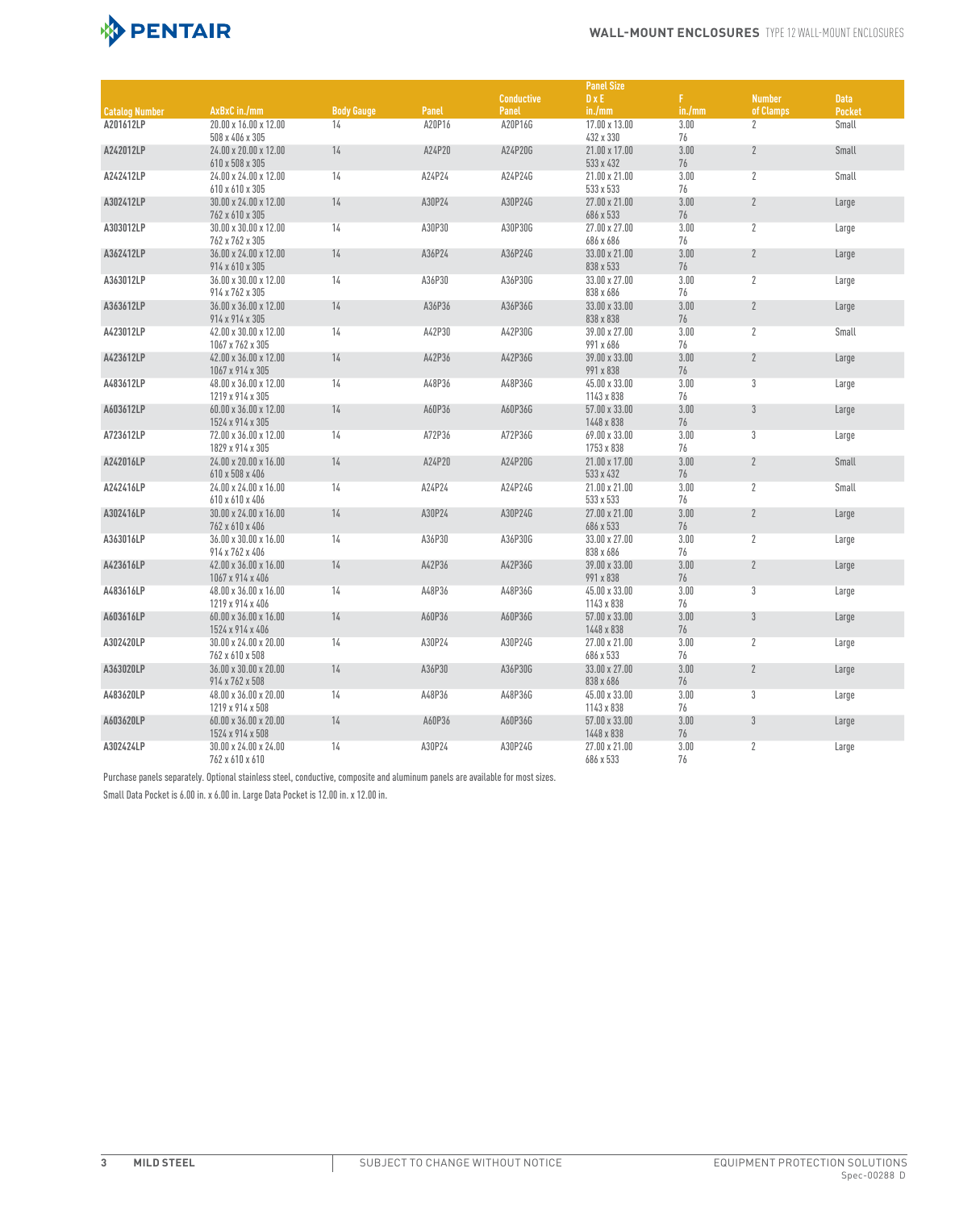

|                       |                                                               |                   |        |                   | <b>Panel Size</b>                         |                  |                |               |
|-----------------------|---------------------------------------------------------------|-------------------|--------|-------------------|-------------------------------------------|------------------|----------------|---------------|
|                       |                                                               |                   |        | <b>Conductive</b> | $D \times E$                              | F.               | <b>Number</b>  | <b>Data</b>   |
| <b>Catalog Number</b> | AxBxC in./mm                                                  | <b>Body Gauge</b> | Panel  | Panel             | in./mm                                    | in./mm           | of Clamps      | <b>Pocket</b> |
| A201612LP             | 20.00 x 16.00 x 12.00<br>508 x 406 x 305                      | 14                | A20P16 | A20P16G           | 17.00 x 13.00<br>432 x 330                | 3.00<br>76       | $\overline{2}$ | Small         |
| A242012LP             | 24.00 x 20.00 x 12.00<br>610 x 508 x 305                      | 14                | A24P20 | A24P20G           | 21.00 x 17.00<br>533 x 432                | 3.00<br>76       | $\overline{2}$ | Small         |
| A242412LP             | 24.00 x 24.00 x 12.00<br>610 x 610 x 305                      | 14                | A24P24 | A24P24G           | 21.00 x 21.00<br>533 x 533                | 3.00<br>76       | $\overline{2}$ | Small         |
| A302412LP             | 30.00 x 24.00 x 12.00<br>762 x 610 x 305                      | 14                | A30P24 | A30P24G           | 27.00 x 21.00<br>686 x 533                | 3.00<br>76       | $\overline{2}$ | Large         |
| A303012LP             | 30.00 x 30.00 x 12.00                                         | 14                | A30P30 | A30P30G           | 27.00 x 27.00                             | 3.00             | $\overline{2}$ | Large         |
| A362412LP             | 762 x 762 x 305<br>36.00 x 24.00 x 12.00                      | 14                | A36P24 | A36P24G           | 686 x 686<br>33.00 x 21.00                | 76<br>3.00       | $\mathbf{2}$   | Large         |
| A363012LP             | 914 x 610 x 305<br>36.00 x 30.00 x 12.00                      | 14                | A36P30 | A36P30G           | 838 x 533<br>33.00 x 27.00                | 76<br>3.00       | $\mathbf{2}$   | Large         |
| A363612LP             | 914 x 762 x 305<br>36.00 x 36.00 x 12.00                      | 14                | A36P36 | A36P36G           | 838 x 686<br>33.00 x 33.00                | 76<br>3.00       | $\mathbf{2}$   | Large         |
| A423012LP             | 914 x 914 x 305<br>42.00 x 30.00 x 12.00                      | 14                | A42P30 | A42P30G           | 838 x 838<br>39.00 x 27.00                | 76<br>3.00       | $\overline{2}$ | Small         |
| A423612LP             | 1067 x 762 x 305<br>42.00 x 36.00 x 12.00                     | 14                | A42P36 | A42P36G           | 991 x 686<br>39.00 x 33.00                | 76<br>3.00       | $\overline{2}$ | Large         |
| A483612LP             | 1067 x 914 x 305<br>48.00 x 36.00 x 12.00                     | 14                | A48P36 | A48P36G           | 991 x 838<br>45.00 x 33.00                | 76<br>3.00       | 3              | Large         |
| A603612LP             | 1219 x 914 x 305<br>60.00 x 36.00 x 12.00                     | 14                | A60P36 | A60P36G           | 1143 x 838<br>57.00 x 33.00               | 76<br>3.00       | $\mathfrak{Z}$ | Large         |
|                       | 1524 x 914 x 305                                              |                   |        |                   | 1448 x 838                                | 76               |                |               |
| A723612LP             | 72.00 x 36.00 x 12.00<br>1829 x 914 x 305                     | 14                | A72P36 | A72P36G           | 69.00 x 33.00<br>1753 x 838               | 3.00<br>76       | 3              | Large         |
| A242016LP             | 24.00 x 20.00 x 16.00<br>610 x 508 x 406                      | 14                | A24P20 | A24P20G           | 21.00 x 17.00<br>533 x 432                | 3.00<br>76       | $\overline{2}$ | <b>Small</b>  |
| A242416LP             | 24.00 x 24.00 x 16.00<br>610 x 610 x 406                      | 14                | A24P24 | A24P24G           | 21.00 x 21.00<br>533 x 533                | 3.00<br>76       | $\mathbf{2}$   | Small         |
| A302416LP             | 30.00 x 24.00 x 16.00<br>762 x 610 x 406                      | 14                | A30P24 | A30P24G           | 27.00 x 21.00<br>686 x 533                | 3.00<br>76       | $\overline{2}$ | Large         |
| A363016LP             | 36.00 x 30.00 x 16.00<br>914 x 762 x 406                      | 14                | A36P30 | A36P30G           | 33.00 x 27.00<br>838 x 686                | 3.00<br>76       | $\mathbf{2}$   | Large         |
| A423616LP             | 42.00 x 36.00 x 16.00<br>1067 x 914 x 406                     | 14                | A42P36 | A42P36G           | 39.00 x 33.00<br>991 x 838                | 3.00<br>76       | $\mathbf{2}$   | Large         |
| A483616LP             | 48.00 x 36.00 x 16.00<br>1219 x 914 x 406                     | 14                | A48P36 | A48P36G           | 45.00 x 33.00<br>1143 x 838               | 3.00<br>76       | 3              | Large         |
| A603616LP             | 60.00 x 36.00 x 16.00<br>1524 x 914 x 406                     | 14                | A60P36 | A60P36G           | 57.00 x 33.00<br>1448 x 838               | 3.00<br>76       | 3              | Large         |
| A302420LP             | 30.00 x 24.00 x 20.00<br>762 x 610 x 508                      | 14                | A30P24 | A30P24G           | $27.00 \times 21.00$<br>686 x 533         | 3.00<br>76       | $\overline{2}$ | Large         |
| A363020LP             | 36.00 x 30.00 x 20.00<br>914 x 762 x 508                      | 14                | A36P30 | A36P30G           | 33.00 x 27.00<br>838 x 686                | 3.00<br>76       | $\overline{2}$ | Large         |
| A483620LP             | 48.00 x 36.00 x 20.00                                         | 14                | A48P36 | A48P36G           | 45.00 x 33.00                             | 3.00             | 3              | Large         |
| A603620LP             | 1219 x 914 x 508<br>60.00 x 36.00 x 20.00<br>1524 x 914 x 508 | 14                | A60P36 | A60P36G           | 1143 x 838<br>57.00 x 33.00<br>1448 x 838 | 76<br>3.00<br>76 | $3\,$          | Large         |
| A302424LP             | 30.00 x 24.00 x 24.00<br>762 x 610 x 610                      | 14                | A30P24 | A30P24G           | 27.00 x 21.00<br>686 x 533                | 3.00<br>76       | 2              | Large         |

Purchase panels separately. Optional stainless steel, conductive, composite and aluminum panels are available for most sizes.

Small Data Pocket is 6.00 in. x 6.00 in. Large Data Pocket is 12.00 in. x 12.00 in.